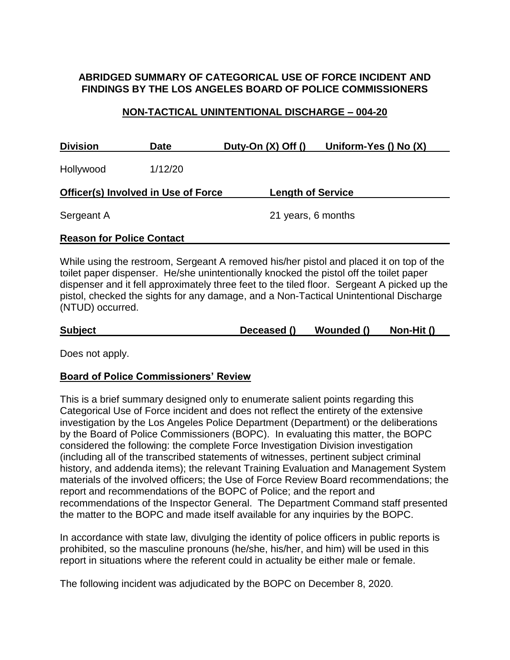# **ABRIDGED SUMMARY OF CATEGORICAL USE OF FORCE INCIDENT AND FINDINGS BY THE LOS ANGELES BOARD OF POLICE COMMISSIONERS**

#### **NON-TACTICAL UNINTENTIONAL DISCHARGE – 004-20**

| <b>Division</b>                            | <b>Date</b> | Duty-On $(X)$ Off $()$   | Uniform-Yes () No (X) |
|--------------------------------------------|-------------|--------------------------|-----------------------|
| Hollywood                                  | 1/12/20     |                          |                       |
| <b>Officer(s) Involved in Use of Force</b> |             | <b>Length of Service</b> |                       |
| Sergeant A                                 |             | 21 years, 6 months       |                       |
|                                            |             |                          |                       |

# **Reason for Police Contact**

While using the restroom, Sergeant A removed his/her pistol and placed it on top of the toilet paper dispenser. He/she unintentionally knocked the pistol off the toilet paper dispenser and it fell approximately three feet to the tiled floor. Sergeant A picked up the pistol, checked the sights for any damage, and a Non-Tactical Unintentional Discharge (NTUD) occurred.

| <b>Subject</b> | Deceased () | Wounded () | Non-Hit () |  |
|----------------|-------------|------------|------------|--|

Does not apply.

# **Board of Police Commissioners' Review**

This is a brief summary designed only to enumerate salient points regarding this Categorical Use of Force incident and does not reflect the entirety of the extensive investigation by the Los Angeles Police Department (Department) or the deliberations by the Board of Police Commissioners (BOPC). In evaluating this matter, the BOPC considered the following: the complete Force Investigation Division investigation (including all of the transcribed statements of witnesses, pertinent subject criminal history, and addenda items); the relevant Training Evaluation and Management System materials of the involved officers; the Use of Force Review Board recommendations; the report and recommendations of the BOPC of Police; and the report and recommendations of the Inspector General. The Department Command staff presented the matter to the BOPC and made itself available for any inquiries by the BOPC.

In accordance with state law, divulging the identity of police officers in public reports is prohibited, so the masculine pronouns (he/she, his/her, and him) will be used in this report in situations where the referent could in actuality be either male or female.

The following incident was adjudicated by the BOPC on December 8, 2020.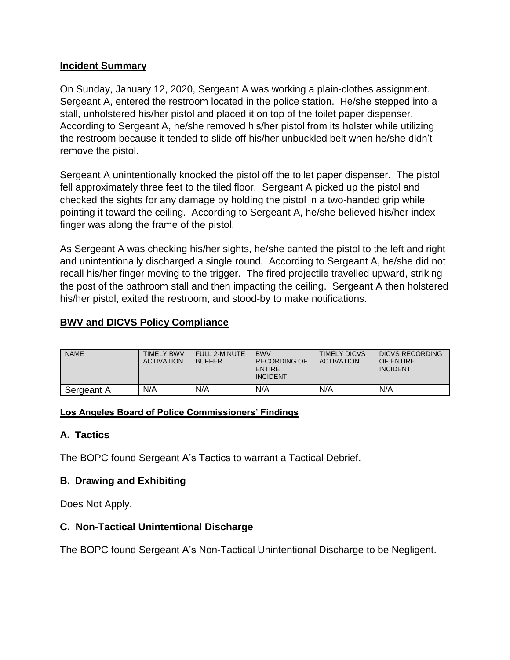#### **Incident Summary**

On Sunday, January 12, 2020, Sergeant A was working a plain-clothes assignment. Sergeant A, entered the restroom located in the police station. He/she stepped into a stall, unholstered his/her pistol and placed it on top of the toilet paper dispenser. According to Sergeant A, he/she removed his/her pistol from its holster while utilizing the restroom because it tended to slide off his/her unbuckled belt when he/she didn't remove the pistol.

Sergeant A unintentionally knocked the pistol off the toilet paper dispenser. The pistol fell approximately three feet to the tiled floor. Sergeant A picked up the pistol and checked the sights for any damage by holding the pistol in a two-handed grip while pointing it toward the ceiling. According to Sergeant A, he/she believed his/her index finger was along the frame of the pistol.

As Sergeant A was checking his/her sights, he/she canted the pistol to the left and right and unintentionally discharged a single round. According to Sergeant A, he/she did not recall his/her finger moving to the trigger. The fired projectile travelled upward, striking the post of the bathroom stall and then impacting the ceiling. Sergeant A then holstered his/her pistol, exited the restroom, and stood-by to make notifications.

# **BWV and DICVS Policy Compliance**

| <b>NAME</b> | <b>TIMELY BWV</b><br><b>ACTIVATION</b> | <b>FULL 2-MINUTE</b><br><b>BUFFER</b> | <b>BWV</b><br>RECORDING OF<br><b>ENTIRE</b><br><b>INCIDENT</b> | <b>TIMELY DICVS</b><br><b>ACTIVATION</b> | DICVS RECORDING<br>OF ENTIRE<br><b>INCIDENT</b> |
|-------------|----------------------------------------|---------------------------------------|----------------------------------------------------------------|------------------------------------------|-------------------------------------------------|
| Sergeant A  | N/A                                    | N/A                                   | N/A                                                            | N/A                                      | N/A                                             |

#### **Los Angeles Board of Police Commissioners' Findings**

# **A. Tactics**

The BOPC found Sergeant A's Tactics to warrant a Tactical Debrief.

# **B. Drawing and Exhibiting**

Does Not Apply.

# **C. Non-Tactical Unintentional Discharge**

The BOPC found Sergeant A's Non-Tactical Unintentional Discharge to be Negligent.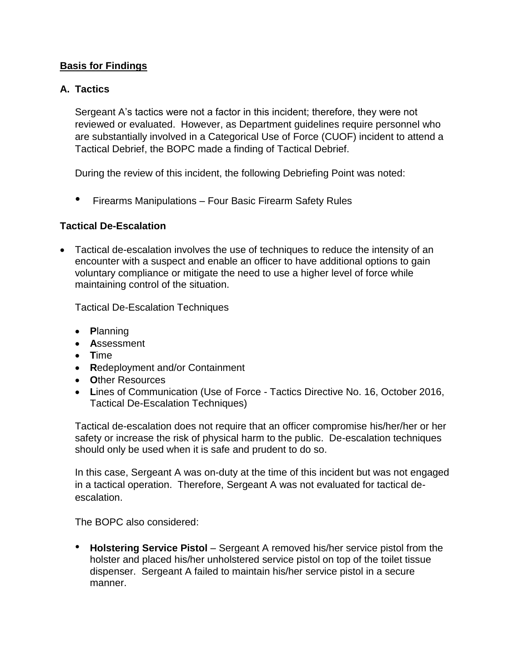#### **Basis for Findings**

#### **A. Tactics**

Sergeant A's tactics were not a factor in this incident; therefore, they were not reviewed or evaluated. However, as Department guidelines require personnel who are substantially involved in a Categorical Use of Force (CUOF) incident to attend a Tactical Debrief, the BOPC made a finding of Tactical Debrief.

During the review of this incident, the following Debriefing Point was noted:

• Firearms Manipulations – Four Basic Firearm Safety Rules

#### **Tactical De-Escalation**

• Tactical de-escalation involves the use of techniques to reduce the intensity of an encounter with a suspect and enable an officer to have additional options to gain voluntary compliance or mitigate the need to use a higher level of force while maintaining control of the situation.

Tactical De-Escalation Techniques

- **P**lanning
- **A**ssessment
- **T**ime
- **R**edeployment and/or Containment
- **O**ther Resources
- **L**ines of Communication (Use of Force Tactics Directive No. 16, October 2016, Tactical De-Escalation Techniques)

Tactical de-escalation does not require that an officer compromise his/her/her or her safety or increase the risk of physical harm to the public. De-escalation techniques should only be used when it is safe and prudent to do so.

In this case, Sergeant A was on-duty at the time of this incident but was not engaged in a tactical operation. Therefore, Sergeant A was not evaluated for tactical deescalation.

The BOPC also considered:

• **Holstering Service Pistol** – Sergeant A removed his/her service pistol from the holster and placed his/her unholstered service pistol on top of the toilet tissue dispenser. Sergeant A failed to maintain his/her service pistol in a secure manner.